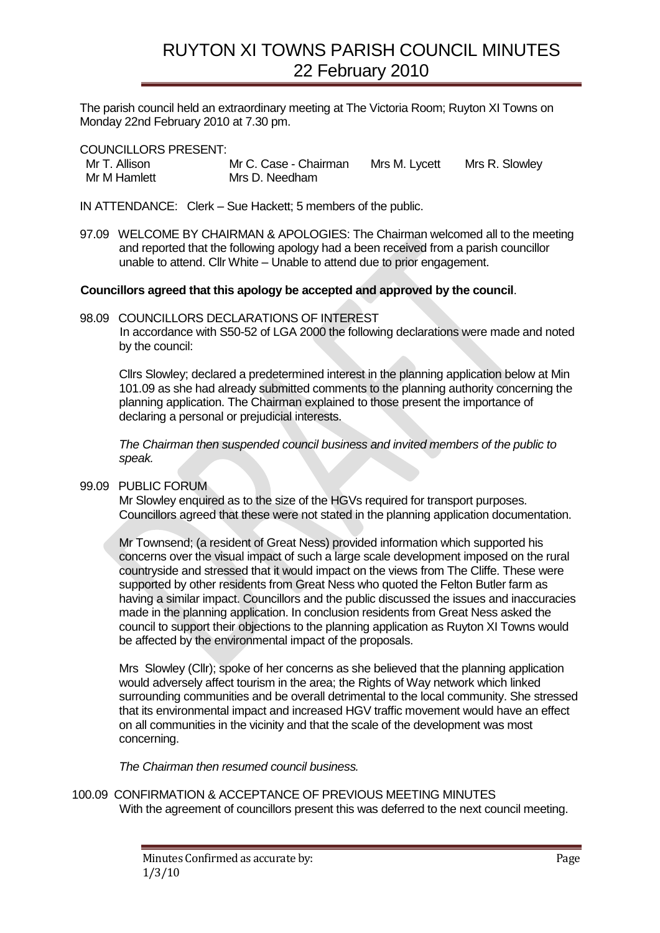## RUYTON XI TOWNS PARISH COUNCIL MINUTES 22 February 2010

The parish council held an extraordinary meeting at The Victoria Room; Ruyton XI Towns on Monday 22nd February 2010 at 7.30 pm.

COUNCILLORS PRESENT:

| Mr T. Allison | Mr C. Case - Chairman | Mrs M. Lycett | Mrs R. Slowley |
|---------------|-----------------------|---------------|----------------|
| Mr M Hamlett  | Mrs D. Needham        |               |                |

IN ATTENDANCE: Clerk – Sue Hackett; 5 members of the public.

97.09 WELCOME BY CHAIRMAN & APOLOGIES: The Chairman welcomed all to the meeting and reported that the following apology had a been received from a parish councillor unable to attend. Cllr White – Unable to attend due to prior engagement.

## **Councillors agreed that this apology be accepted and approved by the council**.

98.09 COUNCILLORS DECLARATIONS OF INTEREST In accordance with S50-52 of LGA 2000 the following declarations were made and noted by the council:

Cllrs Slowley; declared a predetermined interest in the planning application below at Min 101.09 as she had already submitted comments to the planning authority concerning the planning application. The Chairman explained to those present the importance of declaring a personal or prejudicial interests.

*The Chairman then suspended council business and invited members of the public to speak.*

## 99.09 PUBLIC FORUM

Mr Slowley enquired as to the size of the HGVs required for transport purposes. Councillors agreed that these were not stated in the planning application documentation.

Mr Townsend; (a resident of Great Ness) provided information which supported his concerns over the visual impact of such a large scale development imposed on the rural countryside and stressed that it would impact on the views from The Cliffe. These were supported by other residents from Great Ness who quoted the Felton Butler farm as having a similar impact. Councillors and the public discussed the issues and inaccuracies made in the planning application. In conclusion residents from Great Ness asked the council to support their objections to the planning application as Ruyton XI Towns would be affected by the environmental impact of the proposals.

Mrs Slowley (Cllr); spoke of her concerns as she believed that the planning application would adversely affect tourism in the area; the Rights of Way network which linked surrounding communities and be overall detrimental to the local community. She stressed that its environmental impact and increased HGV traffic movement would have an effect on all communities in the vicinity and that the scale of the development was most concerning.

*The Chairman then resumed council business.* 

100.09 CONFIRMATION & ACCEPTANCE OF PREVIOUS MEETING MINUTES With the agreement of councillors present this was deferred to the next council meeting.